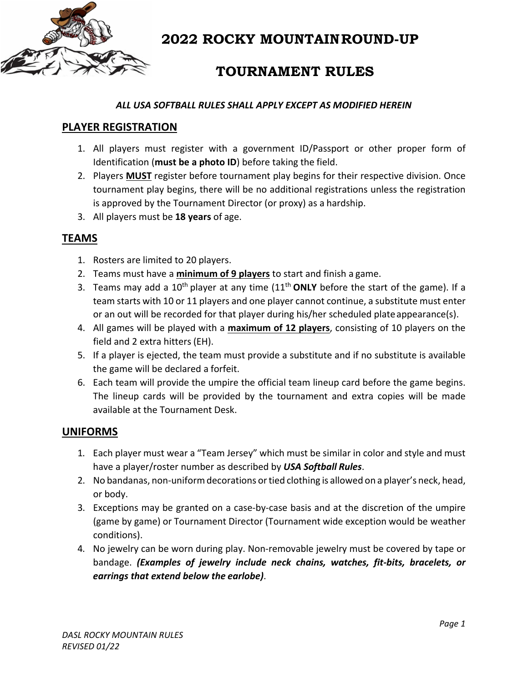

# **TOURNAMENT RULES**

#### *ALL USA SOFTBALL RULES SHALL APPLY EXCEPT AS MODIFIED HEREIN*

### **PLAYER REGISTRATION**

- 1. All players must register with a government ID/Passport or other proper form of Identification (**must be a photo ID**) before taking the field.
- 2. Players **MUST** register before tournament play begins for their respective division. Once tournament play begins, there will be no additional registrations unless the registration is approved by the Tournament Director (or proxy) as a hardship.
- 3. All players must be **18 years** of age.

### **TEAMS**

- 1. Rosters are limited to 20 players.
- 2. Teams must have a **minimum of 9 players** to start and finish a game.
- 3. Teams may add a  $10^{th}$  player at any time  $(11^{th}$  **ONLY** before the start of the game). If a team starts with 10 or 11 players and one player cannot continue, a substitute must enter or an out will be recorded for that player during his/her scheduled plateappearance(s).
- 4. All games will be played with a **maximum of 12 players**, consisting of 10 players on the field and 2 extra hitters (EH).
- 5. If a player is ejected, the team must provide a substitute and if no substitute is available the game will be declared a forfeit.
- 6. Each team will provide the umpire the official team lineup card before the game begins. The lineup cards will be provided by the tournament and extra copies will be made available at the Tournament Desk.

### **UNIFORMS**

- 1. Each player must wear a "Team Jersey" which must be similar in color and style and must have a player/roster number as described by *USA Softball Rules*.
- 2. No bandanas, non-uniform decorations or tied clothing is allowed on a player's neck, head, or body.
- 3. Exceptions may be granted on a case‐by‐case basis and at the discretion of the umpire (game by game) or Tournament Director (Tournament wide exception would be weather conditions).
- 4. No jewelry can be worn during play. Non‐removable jewelry must be covered by tape or bandage. *(Examples of jewelry include neck chains, watches, fit‐bits, bracelets, or earrings that extend below the earlobe)*.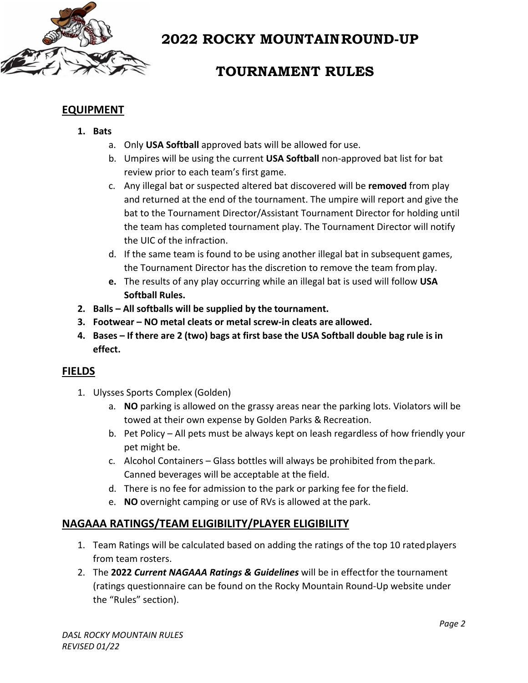

# **TOURNAMENT RULES**

## **EQUIPMENT**

#### **1. Bats**

- a. Only **USA Softball** approved bats will be allowed for use.
- b. Umpires will be using the current **USA Softball** non‐approved bat list for bat review prior to each team's first game.
- c. Any illegal bat or suspected altered bat discovered will be **removed** from play and returned at the end of the tournament. The umpire will report and give the bat to the Tournament Director/Assistant Tournament Director for holding until the team has completed tournament play. The Tournament Director will notify the UIC of the infraction.
- d. If the same team is found to be using another illegal bat in subsequent games, the Tournament Director has the discretion to remove the team fromplay.
- **e.** The results of any play occurring while an illegal bat is used will follow **USA Softball Rules.**
- **2. Balls – All softballs will be supplied by the tournament.**
- **3. Footwear – NO metal cleats or metal screw‐in cleats are allowed.**
- 4. Bases If there are 2 (two) bags at first base the USA Softball double bag rule is in **effect.**

### **FIELDS**

- 1. Ulysses Sports Complex (Golden)
	- a. **NO** parking is allowed on the grassy areas near the parking lots. Violators will be towed at their own expense by Golden Parks & Recreation.
	- b. Pet Policy All pets must be always kept on leash regardless of how friendly your pet might be.
	- c. Alcohol Containers Glass bottles will always be prohibited from thepark. Canned beverages will be acceptable at the field.
	- d. There is no fee for admission to the park or parking fee for the field.
	- e. **NO** overnight camping or use of RVs is allowed at the park.

### **NAGAAA RATINGS/TEAM ELIGIBILITY/PLAYER ELIGIBILITY**

- 1. Team Ratings will be calculated based on adding the ratings of the top 10 ratedplayers from team rosters.
- 2. The **2022** *Current NAGAAA Ratings & Guidelines* will be in effectfor the tournament (ratings questionnaire can be found on the Rocky Mountain Round‐Up website under the "Rules" section).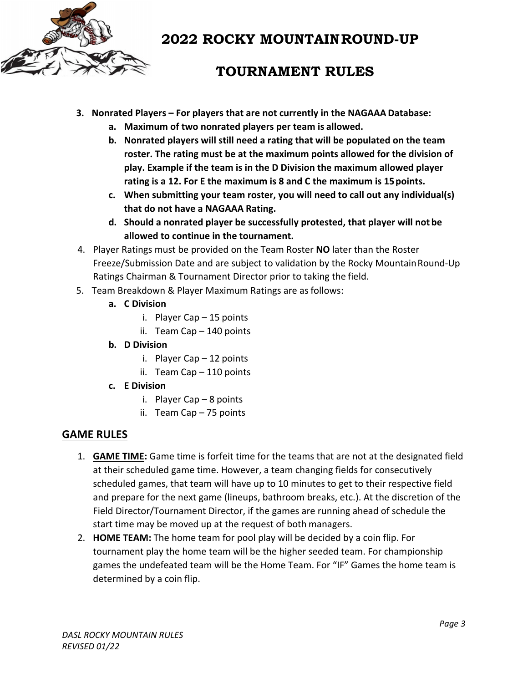

# **TOURNAMENT RULES**

- **3. Nonrated Players – For players that are not currently in the NAGAAA Database:**
	- **a. Maximum of two nonrated players per team is allowed.**
	- **b. Nonrated players will still need a rating that will be populated on the team roster. The rating must be at the maximum points allowed for the division of play. Example if the team is in the D Division the maximum allowed player rating is a 12. For E the maximum is 8 and C the maximum is 15points.**
	- **c. When submitting your team roster, you will need to call out any individual(s) that do not have a NAGAAA Rating.**
	- **d. Should a nonrated player be successfully protested, that player will not be allowed to continue in the tournament.**
- 4. Player Ratings must be provided on the Team Roster **NO** later than the Roster Freeze/Submission Date and are subject to validation by the Rocky Mountain Round-Up Ratings Chairman & Tournament Director prior to taking the field.
- 5. Team Breakdown & Player Maximum Ratings are asfollows:
	- **a. C Division**
		- i. Player Cap 15 points
		- ii. Team Cap 140 points
	- **b. D Division**
		- i. Player Cap 12 points
		- ii. Team Cap 110 points
	- **c. E Division**
		- i. Player Cap 8 points
		- ii. Team Cap 75 points

### **GAME RULES**

- 1. **GAME TIME:** Game time is forfeit time for the teams that are not at the designated field at their scheduled game time. However, a team changing fields for consecutively scheduled games, that team will have up to 10 minutes to get to their respective field and prepare for the next game (lineups, bathroom breaks, etc.). At the discretion of the Field Director/Tournament Director, if the games are running ahead of schedule the start time may be moved up at the request of both managers.
- 2. **HOME TEAM:** The home team for pool play will be decided by a coin flip. For tournament play the home team will be the higher seeded team. For championship games the undefeated team will be the Home Team. For "IF" Games the home team is determined by a coin flip.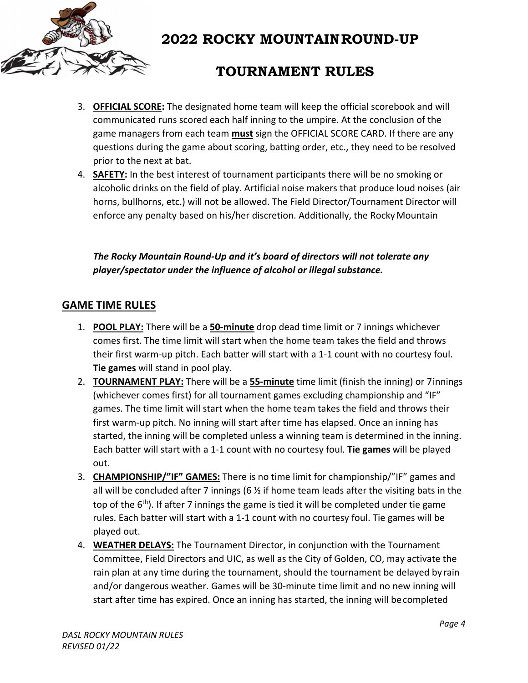

# **TOURNAMENT RULES**

- 3. **OFFICIAL SCORE:** The designated home team will keep the official scorebook and will communicated runs scored each half inning to the umpire. At the conclusion of the game managers from each team **must** sign the OFFICIAL SCORE CARD. If there are any questions during the game about scoring, batting order, etc., they need to be resolved prior to the next at bat.
- 4. **SAFETY:** In the best interest of tournament participants there will be no smoking or alcoholic drinks on the field of play. Artificial noise makers that produce loud noises (air horns, bullhorns, etc.) will not be allowed. The Field Director/Tournament Director will enforce any penalty based on his/her discretion. Additionally, the RockyMountain

*The Rocky Mountain Round‐Up and it's board of directors will not tolerate any player/spectator under the influence of alcohol or illegal substance.*

### **GAME TIME RULES**

- 1. **POOL PLAY:** There will be a **50-minute** drop dead time limit or 7 innings whichever comes first. The time limit will start when the home team takes the field and throws their first warm‐up pitch. Each batter will start with a 1‐1 count with no courtesy foul. **Tie games** will stand in pool play.
- 2. **TOURNAMENT PLAY:** There will be a **55‐minute** time limit (finish the inning) or 7innings (whichever comes first) for all tournament games excluding championship and "IF" games. The time limit will start when the home team takes the field and throws their first warm‐up pitch. No inning will start after time has elapsed. Once an inning has started, the inning will be completed unless a winning team is determined in the inning. Each batter will start with a 1‐1 count with no courtesy foul. **Tie games** will be played out.
- 3. **CHAMPIONSHIP/"IF" GAMES:** There is no time limit for championship/"IF" games and all will be concluded after 7 innings (6  $\frac{1}{2}$  if home team leads after the visiting bats in the top of the  $6<sup>th</sup>$ ). If after 7 innings the game is tied it will be completed under tie game rules. Each batter will start with a 1‐1 count with no courtesy foul. Tie games will be played out.
- 4. **WEATHER DELAYS:** The Tournament Director, in conjunction with the Tournament Committee, Field Directors and UIC, as well as the City of Golden, CO, may activate the rain plan at any time during the tournament, should the tournament be delayed by rain and/or dangerous weather. Games will be 30‐minute time limit and no new inning will start after time has expired. Once an inning has started, the inning will becompleted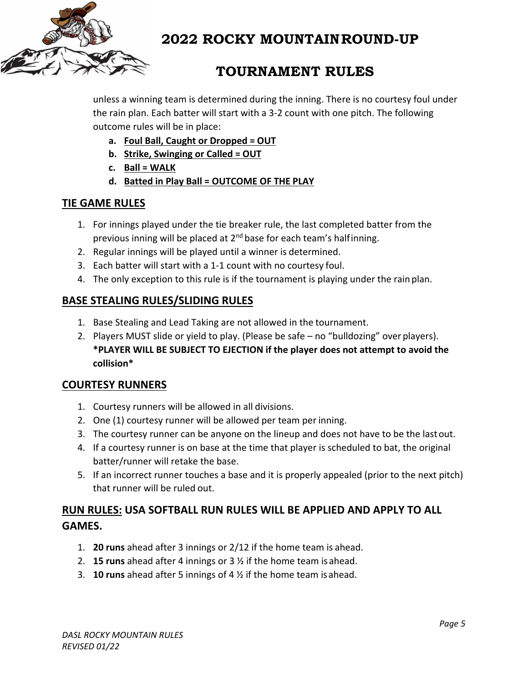

# **TOURNAMENT RULES**

unless a winning team is determined during the inning. There is no courtesy foul under the rain plan. Each batter will start with a 3‐2 count with one pitch. The following outcome rules will be in place:

- **a. Foul Ball, Caught or Dropped = OUT**
- **b. Strike, Swinging or Called = OUT**
- **c. Ball = WALK**
- **d. Batted in Play Ball = OUTCOME OF THE PLAY**

### **TIE GAME RULES**

- 1. For innings played under the tie breaker rule, the last completed batter from the previous inning will be placed at  $2^{nd}$  base for each team's halfinning.
- 2. Regular innings will be played until a winner is determined.
- 3. Each batter will start with a 1‐1 count with no courtesy foul.
- 4. The only exception to this rule is if the tournament is playing under the rain plan.

### **BASE STEALING RULES/SLIDING RULES**

- 1. Base Stealing and Lead Taking are not allowed in the tournament.
- 2. Players MUST slide or yield to play. (Please be safe no "bulldozing" over players). **\*PLAYER WILL BE SUBJECT TO EJECTION if the player does not attempt to avoid the collision\***

### **COURTESY RUNNERS**

- 1. Courtesy runners will be allowed in all divisions.
- 2. One (1) courtesy runner will be allowed per team per inning.
- 3. The courtesy runner can be anyone on the lineup and does not have to be the lastout.
- 4. If a courtesy runner is on base at the time that player is scheduled to bat, the original batter/runner will retake the base.
- 5. If an incorrect runner touches a base and it is properly appealed (prior to the next pitch) that runner will be ruled out.

## **RUN RULES: USA SOFTBALL RUN RULES WILL BE APPLIED AND APPLY TO ALL GAMES.**

- 1. **20 runs** ahead after 3 innings or 2/12 if the home team is ahead.
- 2. **15 runs** ahead after 4 innings or 3 ½ if the home team isahead.
- 3. **10 runs** ahead after 5 innings of 4 ½ if the home team isahead.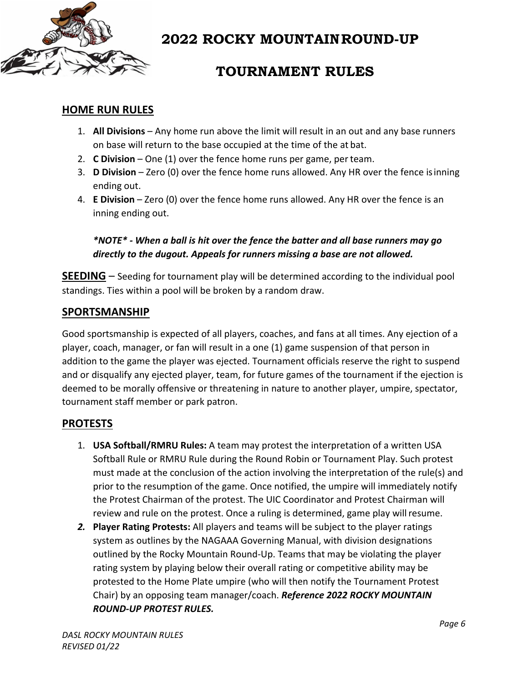

# **TOURNAMENT RULES**

### **HOME RUN RULES**

- 1. **All Divisions** Any home run above the limit will result in an out and any base runners on base will return to the base occupied at the time of the at bat.
- 2. **C Division** One (1) over the fence home runs per game, per team.
- 3. **D Division** Zero (0) over the fence home runs allowed. Any HR over the fence isinning ending out.
- 4. **E Division** Zero (0) over the fence home runs allowed. Any HR over the fence is an inning ending out.

*\*NOTE\* ‐ When a ball is hit over the fence the batter and all base runners may go directly to the dugout. Appeals for runners missing a base are not allowed.*

**SEEDING** – Seeding for tournament play will be determined according to the individual pool standings. Ties within a pool will be broken by a random draw.

#### **SPORTSMANSHIP**

Good sportsmanship is expected of all players, coaches, and fans at all times. Any ejection of a player, coach, manager, or fan will result in a one (1) game suspension of that person in addition to the game the player was ejected. Tournament officials reserve the right to suspend and or disqualify any ejected player, team, for future games of the tournament if the ejection is deemed to be morally offensive or threatening in nature to another player, umpire, spectator, tournament staff member or park patron.

### **PROTESTS**

- 1. **USA Softball/RMRU Rules:** A team may protest the interpretation of a written USA Softball Rule or RMRU Rule during the Round Robin or Tournament Play. Such protest must made at the conclusion of the action involving the interpretation of the rule(s) and prior to the resumption of the game. Once notified, the umpire will immediately notify the Protest Chairman of the protest. The UIC Coordinator and Protest Chairman will review and rule on the protest. Once a ruling is determined, game play willresume.
- *2.* **Player Rating Protests:** All players and teams will be subject to the player ratings system as outlines by the NAGAAA Governing Manual, with division designations outlined by the Rocky Mountain Round‐Up. Teams that may be violating the player rating system by playing below their overall rating or competitive ability may be protested to the Home Plate umpire (who will then notify the Tournament Protest Chair) by an opposing team manager/coach. *Reference 2022 ROCKY MOUNTAIN ROUND‐UP PROTEST RULES.*